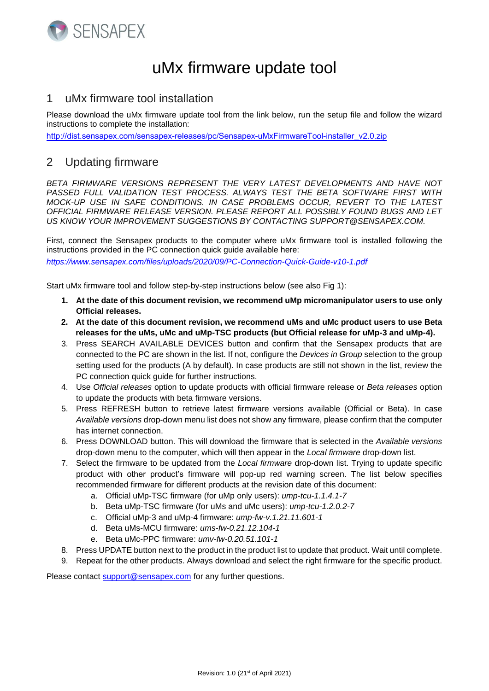

## uMx firmware update tool

## 1 uMx firmware tool installation

Please download the uMx firmware update tool from the link below, run the setup file and follow the wizard instructions to complete the installation:

[http://dist.sensapex.com/sensapex-releases/pc/Sensapex-uMxFirmwareTool-installer\\_v2.0.zip](http://dist.sensapex.com/sensapex-releases/pc/Sensapex-uMxFirmwareTool-installer_v1.5.zip)

## 2 Updating firmware

*BETA FIRMWARE VERSIONS REPRESENT THE VERY LATEST DEVELOPMENTS AND HAVE NOT PASSED FULL VALIDATION TEST PROCESS. ALWAYS TEST THE BETA SOFTWARE FIRST WITH MOCK-UP USE IN SAFE CONDITIONS. IN CASE PROBLEMS OCCUR, REVERT TO THE LATEST OFFICIAL FIRMWARE RELEASE VERSION. PLEASE REPORT ALL POSSIBLY FOUND BUGS AND LET US KNOW YOUR IMPROVEMENT SUGGESTIONS BY CONTACTING SUPPORT@SENSAPEX.COM.* 

First, connect the Sensapex products to the computer where uMx firmware tool is installed following the instructions provided in the PC connection quick guide available here: *<https://www.sensapex.com/files/uploads/2020/09/PC-Connection-Quick-Guide-v10-1.pdf>*

Start uMx firmware tool and follow step-by-step instructions below (see also Fig 1):

- **1. At the date of this document revision, we recommend uMp micromanipulator users to use only Official releases.**
- **2. At the date of this document revision, we recommend uMs and uMc product users to use Beta releases for the uMs, uMc and uMp-TSC products (but Official release for uMp-3 and uMp-4).**
- 3. Press SEARCH AVAILABLE DEVICES button and confirm that the Sensapex products that are connected to the PC are shown in the list. If not, configure the *Devices in Group* selection to the group setting used for the products (A by default). In case products are still not shown in the list, review the PC connection quick guide for further instructions.
- 4. Use *Official releases* option to update products with official firmware release or *Beta releases* option to update the products with beta firmware versions.
- 5. Press REFRESH button to retrieve latest firmware versions available (Official or Beta). In case *Available versions* drop-down menu list does not show any firmware, please confirm that the computer has internet connection.
- 6. Press DOWNLOAD button. This will download the firmware that is selected in the *Available versions* drop-down menu to the computer, which will then appear in the *Local firmware* drop-down list.
- 7. Select the firmware to be updated from the *Local firmware* drop-down list. Trying to update specific product with other product's firmware will pop-up red warning screen. The list below specifies recommended firmware for different products at the revision date of this document:
	- a. Official uMp-TSC firmware (for uMp only users): *ump-tcu-1.1.4.1-7*
	- b. Beta uMp-TSC firmware (for uMs and uMc users): *ump-tcu-1.2.0.2-7*
	- c. Official uMp-3 and uMp-4 firmware: *ump-fw-v.1.21.11.601-1*
	- d. Beta uMs-MCU firmware: *ums-fw-0.21.12.104-1*
	- e. Beta uMc-PPC firmware: *umv-fw-0.20.51.101-1*
- 8. Press UPDATE button next to the product in the product list to update that product. Wait until complete.
- 9. Repeat for the other products. Always download and select the right firmware for the specific product.

Please contact [support@sensapex.com](mailto:support@sensapex.com) for any further questions.